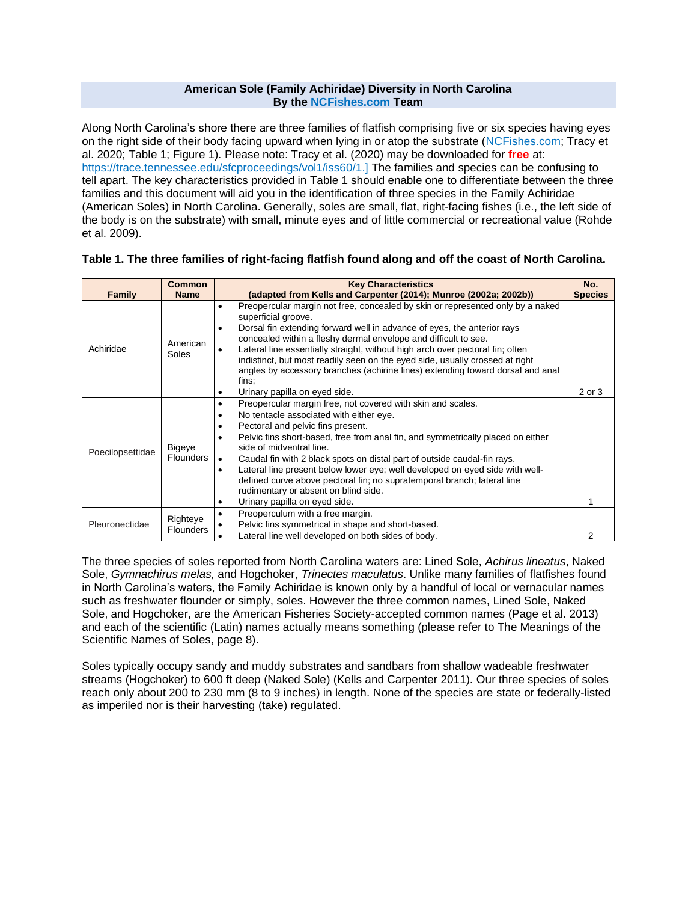### **American Sole (Family Achiridae) Diversity in North Carolina By the [NCFishes.com](http://ncfishes.com/) Team**

Along North Carolina's shore there are three families of flatfish comprising five or six species having eyes on the right side of their body facing upward when lying in or atop the substrate [\(NCFishes.com;](http://ncfishes.com/) Tracy et al. 2020; Table 1; Figure 1). Please note: Tracy et al. (2020) may be downloaded for **free** at: [https://trace.tennessee.edu/sfcproceedings/vol1/iss60/1.\]](https://trace.tennessee.edu/sfcproceedings/vol1/iss60/1) The families and species can be confusing to tell apart. The key characteristics provided in Table 1 should enable one to differentiate between the three families and this document will aid you in the identification of three species in the Family Achiridae (American Soles) in North Carolina. Generally, soles are small, flat, right-facing fishes (i.e., the left side of the body is on the substrate) with small, minute eyes and of little commercial or recreational value (Rohde et al. 2009).

## **Table 1. The three families of right-facing flatfish found along and off the coast of North Carolina.**

| <b>Family</b>    | <b>Common</b><br><b>Name</b>      | <b>Key Characteristics</b><br>(adapted from Kells and Carpenter (2014); Munroe (2002a; 2002b))                                                                                                                                                                                                                                                                                                                                                                                                                                                                                                                                        | No.<br><b>Species</b> |
|------------------|-----------------------------------|---------------------------------------------------------------------------------------------------------------------------------------------------------------------------------------------------------------------------------------------------------------------------------------------------------------------------------------------------------------------------------------------------------------------------------------------------------------------------------------------------------------------------------------------------------------------------------------------------------------------------------------|-----------------------|
| Achiridae        | American<br>Soles                 | Preopercular margin not free, concealed by skin or represented only by a naked<br>$\bullet$<br>superficial groove.<br>Dorsal fin extending forward well in advance of eyes, the anterior rays<br>$\bullet$<br>concealed within a fleshy dermal envelope and difficult to see.<br>Lateral line essentially straight, without high arch over pectoral fin; often<br>$\bullet$<br>indistinct, but most readily seen on the eyed side, usually crossed at right<br>angles by accessory branches (achirine lines) extending toward dorsal and anal<br>fins:<br>Urinary papilla on eyed side.<br>$\bullet$                                  | 2 or 3                |
| Poecilopsettidae | <b>Bigeye</b><br><b>Flounders</b> | Preopercular margin free, not covered with skin and scales.<br>٠<br>No tentacle associated with either eye.<br>٠<br>Pectoral and pelvic fins present.<br>٠<br>Pelvic fins short-based, free from anal fin, and symmetrically placed on either<br>$\bullet$<br>side of midventral line.<br>Caudal fin with 2 black spots on distal part of outside caudal-fin rays.<br>$\bullet$<br>Lateral line present below lower eye; well developed on eyed side with well-<br>$\bullet$<br>defined curve above pectoral fin; no supratemporal branch; lateral line<br>rudimentary or absent on blind side.<br>Urinary papilla on eyed side.<br>٠ |                       |
| Pleuronectidae   | Righteye<br><b>Flounders</b>      | Preoperculum with a free margin.<br>$\bullet$<br>Pelvic fins symmetrical in shape and short-based.<br>٠<br>Lateral line well developed on both sides of body.                                                                                                                                                                                                                                                                                                                                                                                                                                                                         | 2                     |

The three species of soles reported from North Carolina waters are: Lined Sole, *Achirus lineatus*, Naked Sole, *Gymnachirus melas,* and Hogchoker, *Trinectes maculatus*. Unlike many families of flatfishes found in North Carolina's waters, the Family Achiridae is known only by a handful of local or vernacular names such as freshwater flounder or simply, soles. However the three common names, Lined Sole, Naked Sole, and Hogchoker, are the American Fisheries Society-accepted common names (Page et al. 2013) and each of the scientific (Latin) names actually means something (please refer to The Meanings of the Scientific Names of Soles, page 8).

Soles typically occupy sandy and muddy substrates and sandbars from shallow wadeable freshwater streams (Hogchoker) to 600 ft deep (Naked Sole) (Kells and Carpenter 2011). Our three species of soles reach only about 200 to 230 mm (8 to 9 inches) in length. None of the species are state or federally-listed as imperiled nor is their harvesting (take) regulated.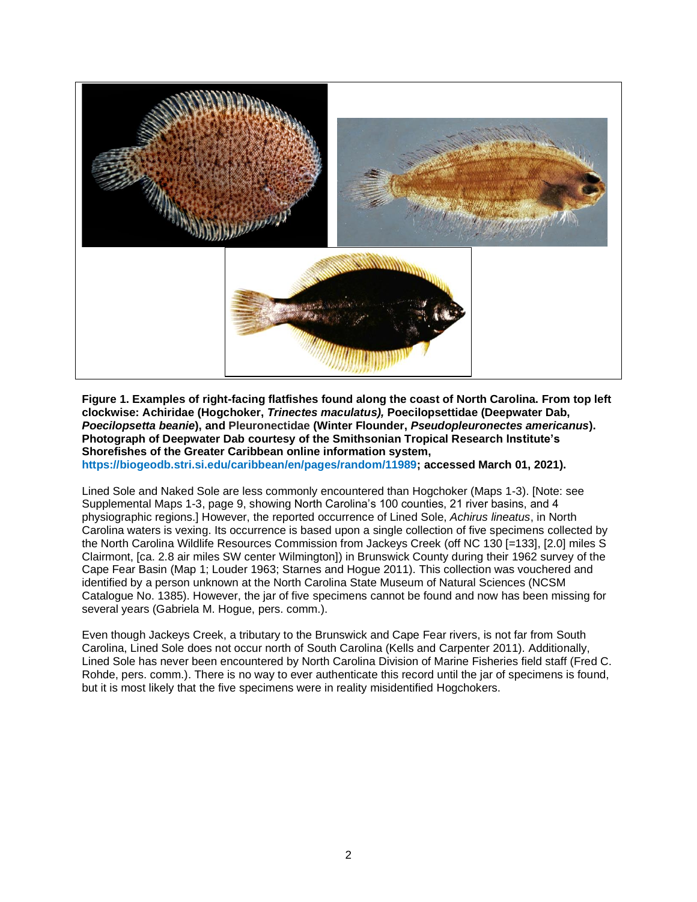

**Figure 1. Examples of right-facing flatfishes found along the coast of North Carolina. From top left clockwise: Achiridae (Hogchoker,** *Trinectes maculatus),* **Poecilopsettidae (Deepwater Dab,**  *Poecilopsetta beanie***), and Pleuronectidae (Winter Flounder,** *Pseudopleuronectes americanus***). Photograph of Deepwater Dab courtesy of the Smithsonian Tropical Research Institute's Shorefishes of the Greater Caribbean online information system,**

**[https://biogeodb.stri.si.edu/caribbean/en/pages/random/11989;](https://biogeodb.stri.si.edu/caribbean/en/pages/random/11989) accessed March 01, 2021).**

Lined Sole and Naked Sole are less commonly encountered than Hogchoker (Maps 1-3). [Note: see Supplemental Maps 1-3, page 9, showing North Carolina's 100 counties, 21 river basins, and 4 physiographic regions.] However, the reported occurrence of Lined Sole, *Achirus lineatus*, in North Carolina waters is vexing. Its occurrence is based upon a single collection of five specimens collected by the North Carolina Wildlife Resources Commission from Jackeys Creek (off NC 130 [=133], [2.0] miles S Clairmont, [ca. 2.8 air miles SW center Wilmington]) in Brunswick County during their 1962 survey of the Cape Fear Basin (Map 1; Louder 1963; Starnes and Hogue 2011). This collection was vouchered and identified by a person unknown at the North Carolina State Museum of Natural Sciences (NCSM Catalogue No. 1385). However, the jar of five specimens cannot be found and now has been missing for several years (Gabriela M. Hogue, pers. comm.).

Even though Jackeys Creek, a tributary to the Brunswick and Cape Fear rivers, is not far from South Carolina, Lined Sole does not occur north of South Carolina (Kells and Carpenter 2011). Additionally, Lined Sole has never been encountered by North Carolina Division of Marine Fisheries field staff (Fred C. Rohde, pers. comm.). There is no way to ever authenticate this record until the jar of specimens is found, but it is most likely that the five specimens were in reality misidentified Hogchokers.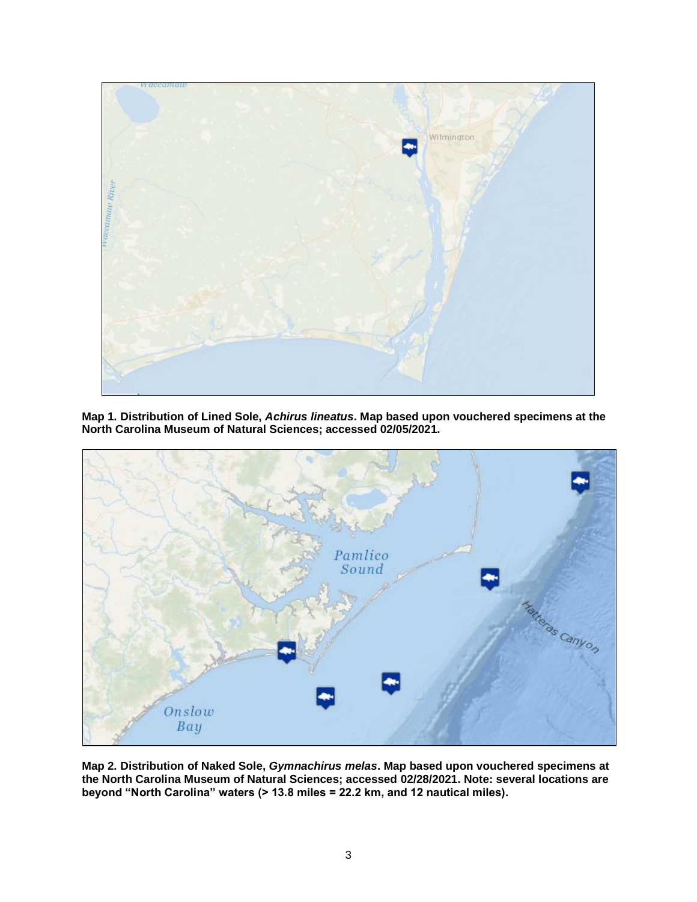

**Map 1. Distribution of Lined Sole,** *Achirus lineatus***. Map based upon vouchered specimens at the North Carolina Museum of Natural Sciences; accessed 02/05/2021.**



**Map 2. Distribution of Naked Sole,** *Gymnachirus melas***. Map based upon vouchered specimens at the North Carolina Museum of Natural Sciences; accessed 02/28/2021. Note: several locations are beyond "North Carolina" waters (> 13.8 miles = 22.2 km, and 12 nautical miles).**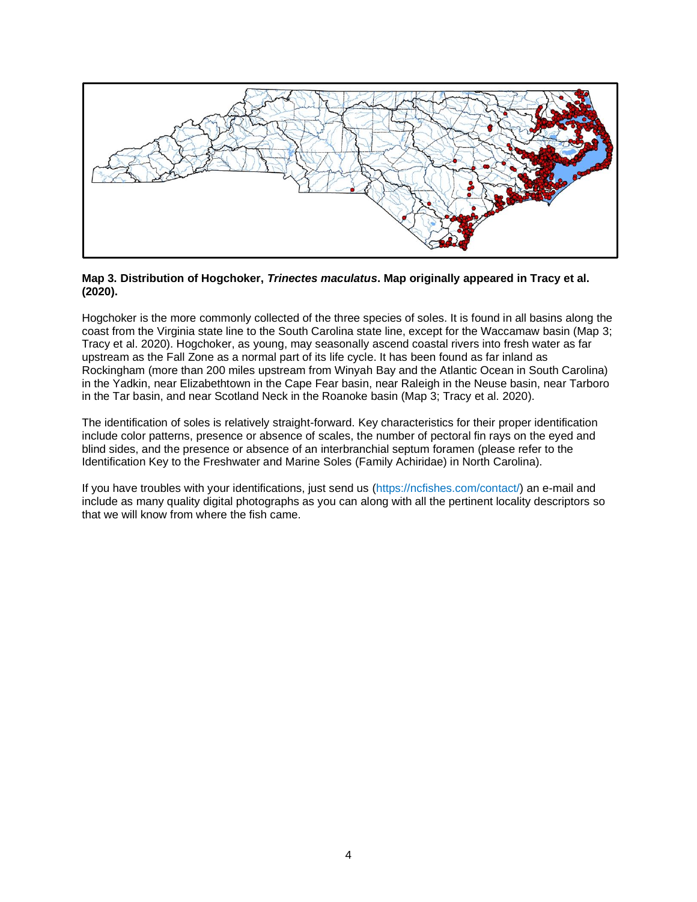

### **Map 3. Distribution of Hogchoker,** *Trinectes maculatus***. Map originally appeared in Tracy et al. (2020).**

Hogchoker is the more commonly collected of the three species of soles. It is found in all basins along the coast from the Virginia state line to the South Carolina state line, except for the Waccamaw basin (Map 3; Tracy et al. 2020). Hogchoker, as young, may seasonally ascend coastal rivers into fresh water as far upstream as the Fall Zone as a normal part of its life cycle. It has been found as far inland as Rockingham (more than 200 miles upstream from Winyah Bay and the Atlantic Ocean in South Carolina) in the Yadkin, near Elizabethtown in the Cape Fear basin, near Raleigh in the Neuse basin, near Tarboro in the Tar basin, and near Scotland Neck in the Roanoke basin (Map 3; Tracy et al. 2020).

The identification of soles is relatively straight-forward. Key characteristics for their proper identification include color patterns, presence or absence of scales, the number of pectoral fin rays on the eyed and blind sides, and the presence or absence of an interbranchial septum foramen (please refer to the Identification Key to the Freshwater and Marine Soles (Family Achiridae) in North Carolina).

If you have troubles with your identifications, just send us [\(https://ncfishes.com/contact/\)](https://ncfishes.com/contact/) an e-mail and include as many quality digital photographs as you can along with all the pertinent locality descriptors so that we will know from where the fish came.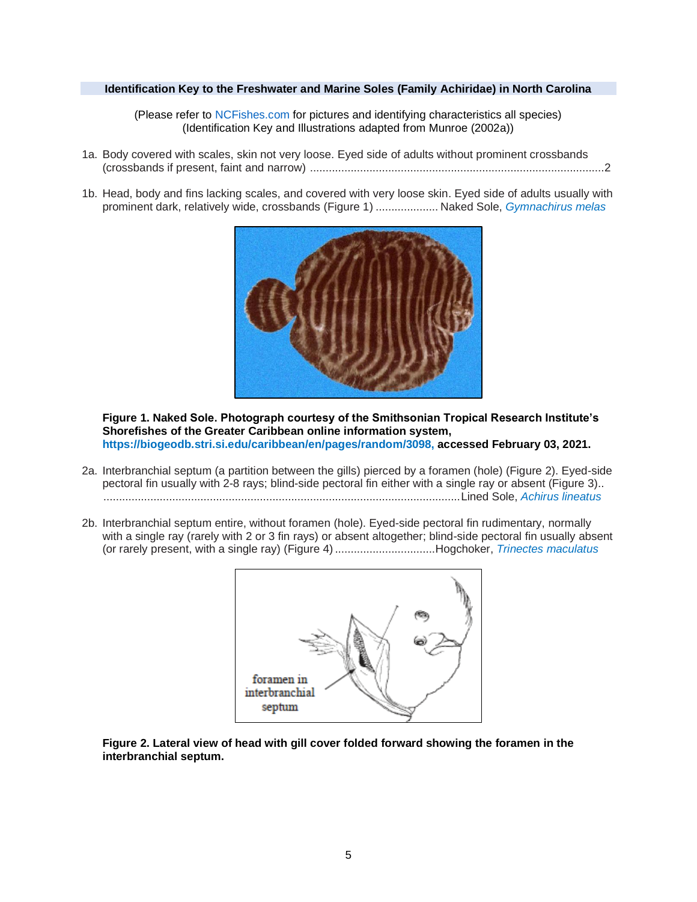### **Identification Key to the Freshwater and Marine Soles (Family Achiridae) in North Carolina**

(Please refer to [NCFishes.com](https://ncfishes.com/contact/) for pictures and identifying characteristics all species) (Identification Key and Illustrations adapted from Munroe (2002a))

- 1a. Body covered with scales, skin not very loose. Eyed side of adults without prominent crossbands (crossbands if present, faint and narrow) ..............................................................................................2
- 1b. Head, body and fins lacking scales, and covered with very loose skin. Eyed side of adults usually with prominent dark, relatively wide, crossbands (Figure 1) .................... Naked Sole, *[Gymnachirus melas](https://ncfishes.com/marine-fishes-of-north-carolina/gymnachirus-melas/)*



**Figure 1. Naked Sole. Photograph courtesy of the Smithsonian Tropical Research Institute's Shorefishes of the Greater Caribbean online information system, [https://biogeodb.stri.si.edu/caribbean/en/pages/random/3098,](https://biogeodb.stri.si.edu/caribbean/en/pages/random/3098) accessed February 03, 2021.**

- 2a. Interbranchial septum (a partition between the gills) pierced by a foramen (hole) (Figure 2). Eyed-side pectoral fin usually with 2-8 rays; blind-side pectoral fin either with a single ray or absent (Figure 3).. ..................................................................................................................Lined Sole, *[Achirus lineatus](https://ncfishes.com/marine-fishes-of-north-carolina/achirus-lineatus/)*
- 2b. Interbranchial septum entire, without foramen (hole). Eyed-side pectoral fin rudimentary, normally with a single ray (rarely with 2 or 3 fin rays) or absent altogether; blind-side pectoral fin usually absent (or rarely present, with a single ray) (Figure 4) ................................Hogchoker, *[Trinectes maculatus](https://ncfishes.com/marine-fishes-of-north-carolina/trinectes-maculatus/)*



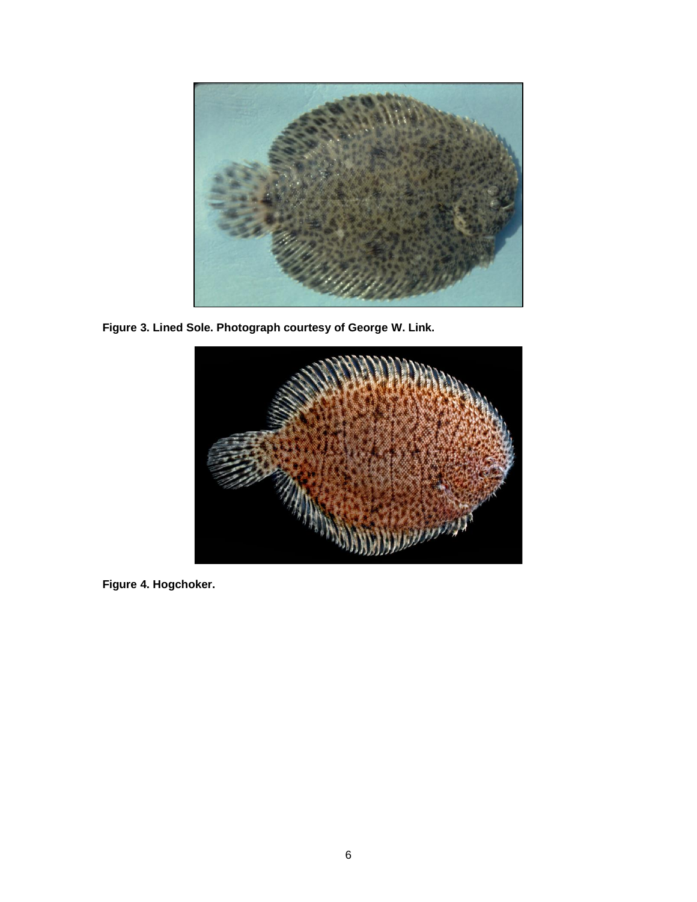

**Figure 3. Lined Sole. Photograph courtesy of George W. Link.**



**Figure 4. Hogchoker.**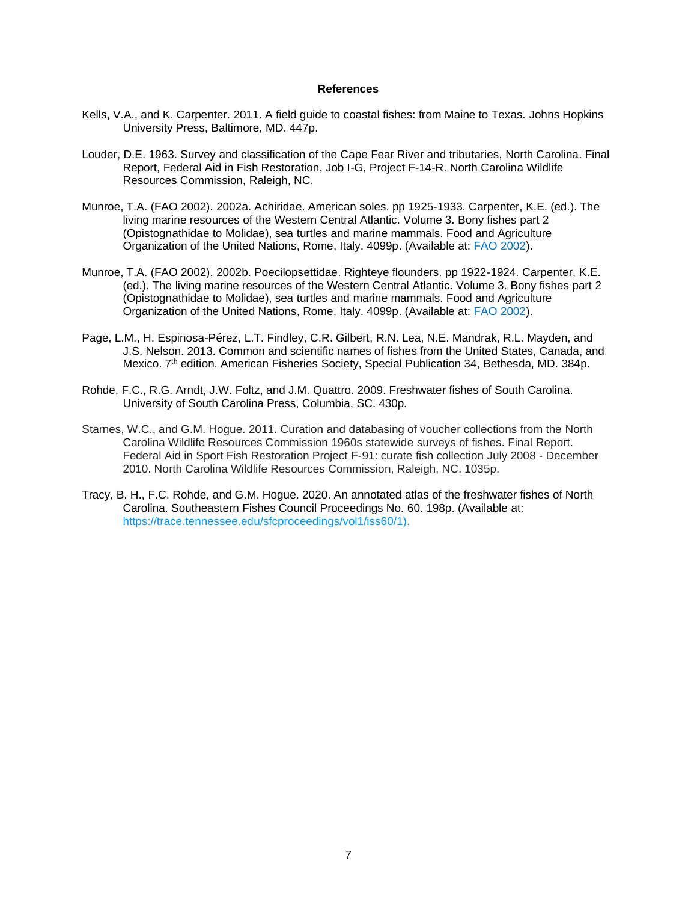#### **References**

- Kells, V.A., and K. Carpenter. 2011. A field guide to coastal fishes: from Maine to Texas. Johns Hopkins University Press, Baltimore, MD. 447p.
- Louder, D.E. 1963. Survey and classification of the Cape Fear River and tributaries, North Carolina. Final Report, Federal Aid in Fish Restoration, Job I-G, Project F-14-R. North Carolina Wildlife Resources Commission, Raleigh, NC.
- Munroe, T.A. (FAO 2002). 2002a. Achiridae. American soles. pp 1925-1933. Carpenter, K.E. (ed.). The living marine resources of the Western Central Atlantic. Volume 3. Bony fishes part 2 (Opistognathidae to Molidae), sea turtles and marine mammals. Food and Agriculture Organization of the United Nations, Rome, Italy. 4099p. (Available at: [FAO 2002\)](http://www.fao.org/3/y4160e/y4160e00.htm).
- Munroe, T.A. (FAO 2002). 2002b. Poecilopsettidae. Righteye flounders. pp 1922-1924. Carpenter, K.E. (ed.). The living marine resources of the Western Central Atlantic. Volume 3. Bony fishes part 2 (Opistognathidae to Molidae), sea turtles and marine mammals. Food and Agriculture Organization of the United Nations, Rome, Italy. 4099p. (Available at: [FAO 2002\)](http://www.fao.org/3/y4160e/y4160e00.htm).
- Page, L.M., H. Espinosa-Pérez, L.T. Findley, C.R. Gilbert, R.N. Lea, N.E. Mandrak, R.L. Mayden, and J.S. Nelson. 2013. Common and scientific names of fishes from the United States, Canada, and Mexico. 7<sup>th</sup> edition. American Fisheries Society, Special Publication 34, Bethesda, MD. 384p.
- Rohde, F.C., R.G. Arndt, J.W. Foltz, and J.M. Quattro. 2009. Freshwater fishes of South Carolina. University of South Carolina Press, Columbia, SC. 430p.
- Starnes, W.C., and G.M. Hogue. 2011. Curation and databasing of voucher collections from the North Carolina Wildlife Resources Commission 1960s statewide surveys of fishes. Final Report. Federal Aid in Sport Fish Restoration Project F-91: curate fish collection July 2008 - December 2010. North Carolina Wildlife Resources Commission, Raleigh, NC. 1035p.
- Tracy, B. H., F.C. Rohde, and G.M. Hogue. 2020. An annotated atlas of the freshwater fishes of North Carolina. Southeastern Fishes Council Proceedings No. 60. 198p. (Available at: [https://trace.tennessee.edu/sfcproceedings/vol1/iss60/1\)](https://trace.tennessee.edu/sfcproceedings/vol1/iss60/1).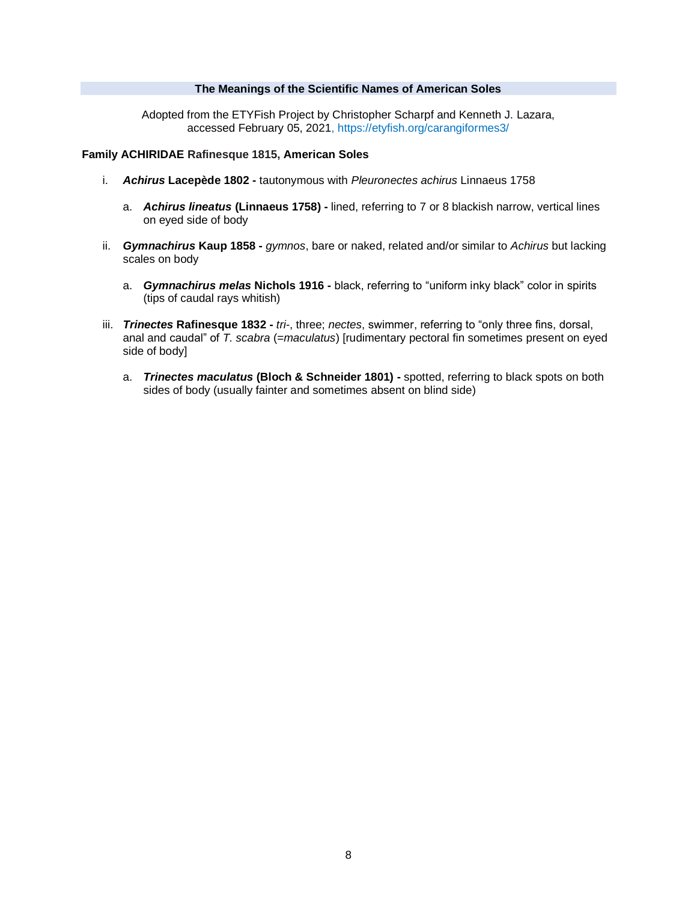### **The Meanings of the Scientific Names of American Soles**

Adopted from the ETYFish Project by Christopher Scharpf and Kenneth J. Lazara, accessed February 05, 2021, <https://etyfish.org/carangiformes3/>

### **Family ACHIRIDAE Rafinesque 1815, American Soles**

- i. *Achirus* **Lacepède 1802 -** tautonymous with *Pleuronectes achirus* Linnaeus 1758
	- a. *Achirus lineatus* **(Linnaeus 1758) -** lined, referring to 7 or 8 blackish narrow, vertical lines on eyed side of body
- ii. *Gymnachirus* **Kaup 1858 -** *gymnos*, bare or naked, related and/or similar to *Achirus* but lacking scales on body
	- a. *Gymnachirus melas* **Nichols 1916 -** black, referring to "uniform inky black" color in spirits (tips of caudal rays whitish)
- iii. *Trinectes* **Rafinesque 1832 -** *tri*-, three; *nectes*, swimmer, referring to "only three fins, dorsal, anal and caudal" of *T. scabra* (=*maculatus*) [rudimentary pectoral fin sometimes present on eyed side of body]
	- a. *Trinectes maculatus* **(Bloch & Schneider 1801) -** spotted, referring to black spots on both sides of body (usually fainter and sometimes absent on blind side)